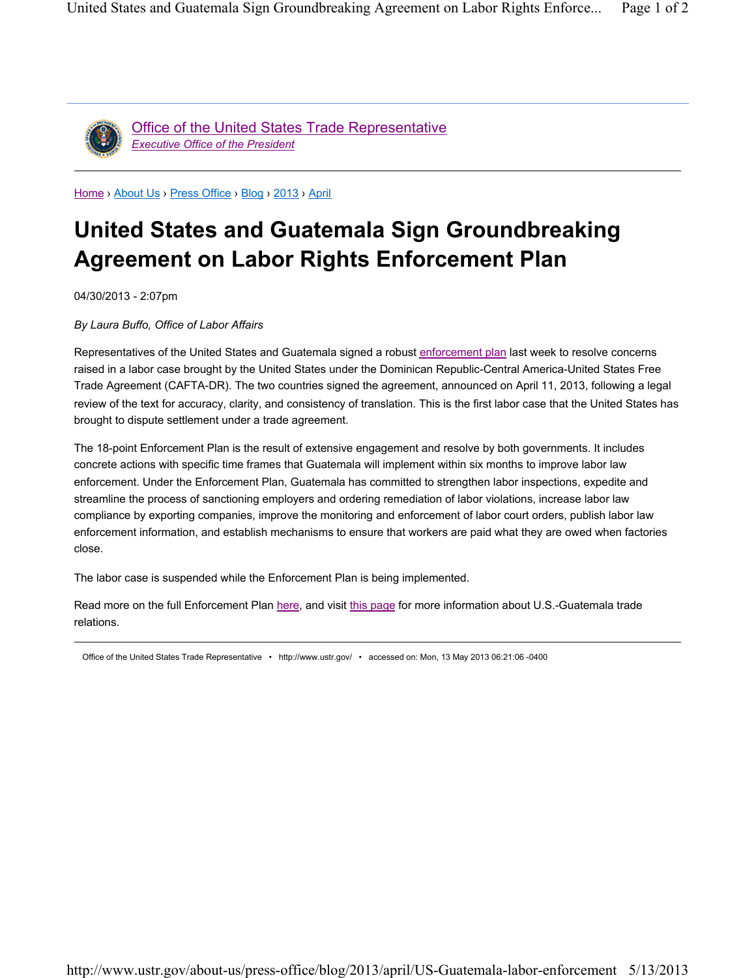

Office of the United States Trade Representative *Executive Office of the President*

Home › About Us › Press Office › Blog › 2013 › April

## **United States and Guatemala Sign Groundbreaking Agreement on Labor Rights Enforcement Plan**

04/30/2013 - 2:07pm

*By Laura Buffo, Office of Labor Affairs*

Representatives of the United States and Guatemala signed a robust enforcement plan last week to resolve concerns raised in a labor case brought by the United States under the Dominican Republic-Central America-United States Free Trade Agreement (CAFTA-DR). The two countries signed the agreement, announced on April 11, 2013, following a legal review of the text for accuracy, clarity, and consistency of translation. This is the first labor case that the United States has brought to dispute settlement under a trade agreement.

The 18-point Enforcement Plan is the result of extensive engagement and resolve by both governments. It includes concrete actions with specific time frames that Guatemala will implement within six months to improve labor law enforcement. Under the Enforcement Plan, Guatemala has committed to strengthen labor inspections, expedite and streamline the process of sanctioning employers and ordering remediation of labor violations, increase labor law compliance by exporting companies, improve the monitoring and enforcement of labor court orders, publish labor law enforcement information, and establish mechanisms to ensure that workers are paid what they are owed when factories close.

The labor case is suspended while the Enforcement Plan is being implemented.

Read more on the full Enforcement Plan here, and visit this page for more information about U.S.-Guatemala trade relations.

Office of the United States Trade Representative • http://www.ustr.gov/ • accessed on: Mon, 13 May 2013 06:21:06 -0400